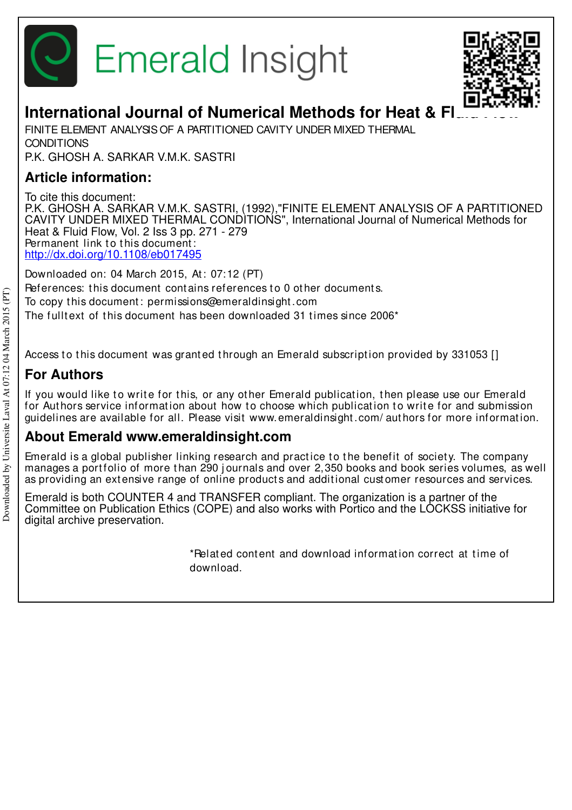



# **International Journal of Numerical Methods for Heat & FI**

FINITE ELEMENT ANALYSIS OF A PARTITIONED CAVITY UNDER MIXED THERMAL **CONDITIONS** P.K. GHOSH A. SARKAR V.M.K. SASTRI

### **Article information:**

To cite this document: P.K. GHOSH A. SARKAR V.M.K. SASTRI, (1992),"FINITE ELEMENT ANALYSIS OF A PARTITIONED CAVITY UNDER MIXED THERMAL CONDITIONS", International Journal of Numerical Methods for Heat & Fluid Flow, Vol. 2 Iss 3 pp. 271 - 279 Permanent link to this document: http://dx.doi.org/10.1108/eb017495

Downloaded on: 04 March 2015, At : 07:12 (PT) References: this document contains references to 0 other documents. To copy t his document : permissions@emeraldinsight .com The fulltext of this document has been downloaded 31 times since 2006<sup>\*</sup>

Access to this document was granted through an Emerald subscription provided by 331053 []

### **For Authors**

If you would like to write for this, or any other Emerald publication, then please use our Emerald for Authors service information about how to choose which publication to write for and submission guidelines are available for all. Please visit www.emeraldinsight .com/ aut hors for more informat ion.

### **About Emerald www.emeraldinsight.com**

Emerald is a global publisher linking research and practice to the benefit of society. The company manages a portfolio of more than 290 journals and over 2,350 books and book series volumes, as well as providing an extensive range of online products and additional customer resources and services.

Emerald is both COUNTER 4 and TRANSFER compliant. The organization is a partner of the Committee on Publication Ethics (COPE) and also works with Portico and the LOCKSS initiative for digital archive preservation.

> \*Related content and download information correct at time of download.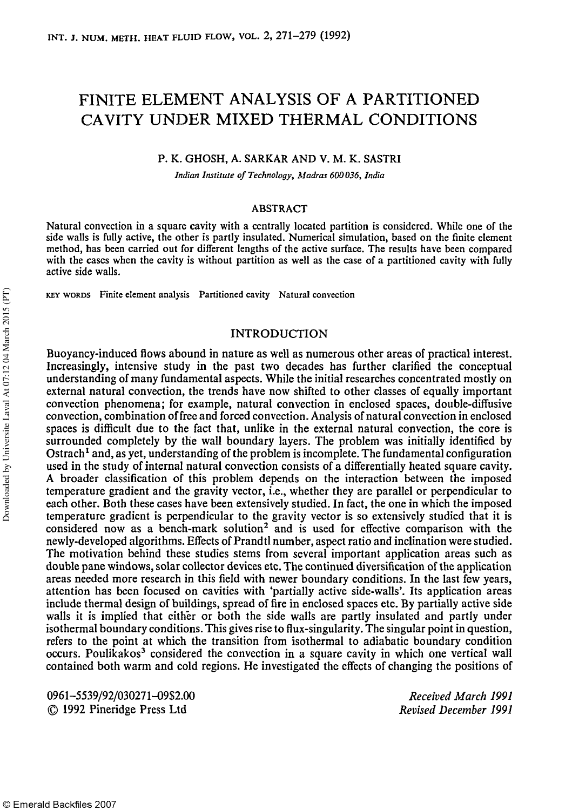## FINITE ELEMENT ANALYSIS OF A PARTITIONED CAVITY UNDER MIXED THERMAL CONDITIONS

#### P. K. GHOSH, A. SARKAR AND V. M. K. SASTRI

*Indian Institute of Technology, Madras 600036, India* 

#### **ABSTRACT**

Natural convection in a square cavity with a centrally located partition is considered. While one of the side walls is fully active, the other is partly insulated. Numerical simulation, based on the finite element method, has been carried out for different lengths of the active surface. The results have been compared with the cases when the cavity is without partition as well as the case of a partitioned cavity with fully active side walls.

KEY WORDS Finite element analysis Partitioned cavity Natural convection

#### INTRODUCTION

Buoyancy-induced flows abound in nature as well as numerous other areas of practical interest. Increasingly, intensive study in the past two decades has further clarified the conceptual understanding of many fundamental aspects. While the initial researches concentrated mostly on external natural convection, the trends have now shifted to other classes of equally important convection phenomena; for example, natural convection in enclosed spaces, double-diffusive convection, combination of free and forced convection. Analysis of natural convection in enclosed spaces is difficult due to the fact that, unlike in the external natural convection, the core is surrounded completely by the wall boundary layers. The problem was initially identified by Ostrach<sup>1</sup> and, as yet, understanding of the problem is incomplete. The fundamental configuration used in the study of internal natural convection consists of a differentially heated square cavity. A broader classification of this problem depends on the interaction between the imposed temperature gradient and the gravity vector, i.e., whether they are parallel or perpendicular to each other. Both these cases have been extensively studied. In fact, the one in which the imposed temperature gradient is perpendicular to the gravity vector is so extensively studied that it is considered now as a bench-mark solution<sup>2</sup> and is used for effective comparison with the newly-developed algorithms. Effects of Prandtl number, aspect ratio and inclination were studied. The motivation behind these studies stems from several important application areas such as double pane windows, solar collector devices etc. The continued diversification of the application areas needed more research in this field with newer boundary conditions. In the last few years, attention has been focused on cavities with 'partially active side-walls'. Its application areas include thermal design of buildings, spread of fire in enclosed spaces etc. By partially active side walls it is implied that either or both the side walls are partly insulated and partly under isothermal boundary conditions. This gives rise to flux-singularity. The singular point in question, refers to the point at which the transition from isothermal to adiabatic boundary condition occurs. Poulikakos<sup>3</sup> considered the convection in a square cavity in which one vertical wall contained both warm and cold regions. He investigated the effects of changing the positions of

0961-5539/92/030271-0952.00 © 1992 Pineridge Press Ltd

*Received March 1991 Revised December 1991*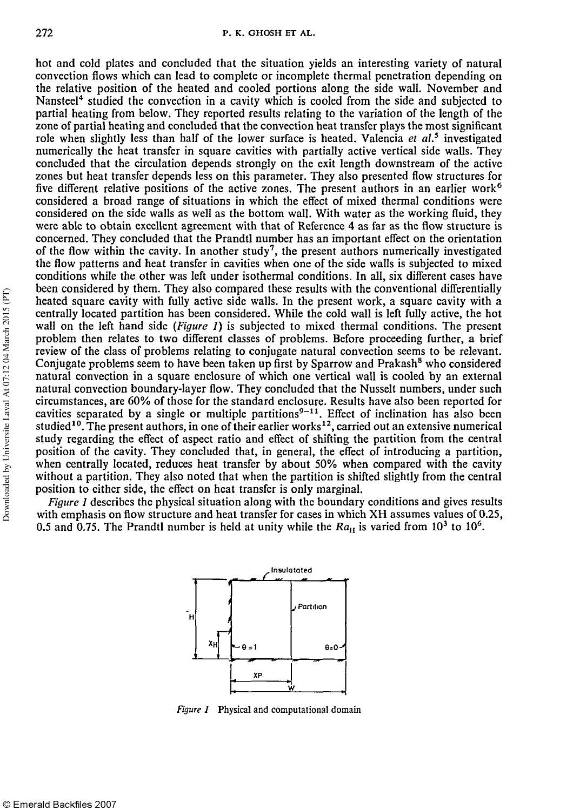hot and cold plates and concluded that the situation yields an interesting variety of natural convection flows which can lead to complete or incomplete thermal penetration depending on the relative position of the heated and cooled portions along the side wall. November and Nansteel<sup>4</sup> studied the convection in a cavity which is cooled from the side and subjected to partial heating from below. They reported results relating to the variation of the length of the zone of partial heating and concluded that the convection heat transfer plays the most significant role when slightly less than half of the lower surface is heated. Valencia *et al.*<sup>5</sup> investigated numerically the heat transfer in square cavities with partially active vertical side walls. They concluded that the circulation depends strongly on the exit length downstream of the active zones but heat transfer depends less on this parameter. They also presented flow structures for five different relative positions of the active zones. The present authors in an earlier work<sup>6</sup> considered a broad range of situations in which the effect of mixed thermal conditions were considered on the side walls as well as the bottom wall. With water as the working fluid, they were able to obtain excellent agreement with that of Reference 4 as far as the flow structure is concerned. They concluded that the Prandtl number has an important effect on the orientation of the flow within the cavity. In another study<sup>7</sup>, the present authors numerically investigated the flow patterns and heat transfer in cavities when one of the side walls is subjected to mixed conditions while the other was left under isothermal conditions. In all, six different cases have been considered by them. They also compared these results with the conventional differentially heated square cavity with fully active side walls. In the present work, a square cavity with a centrally located partition has been considered. While the cold wall is left fully active, the hot wall on the left hand side *(Figure 1)* is subjected to mixed thermal conditions. The present problem then relates to two different classes of problems. Before proceeding further, a brief review of the class of problems relating to conjugate natural convection seems to be relevant. Fortem of the class of problems relating to conjugate natural convection seems to be reforant.<br>Conjugate problems seem to have been taken up first by Sparrow and Prakash<sup>8</sup> who considered natural convection in a square enclosure of which one vertical wall is cooled by an external natural convection boundary-layer flow. They concluded that the Nusselt numbers, under such circumstances, are 60% of those for the standard enclosure. Results have also been reported for cavities separated by a single or multiple partitions<sup>9–11</sup>. Effect of inclination has also been cavities separated by a single of multiple partitions  $\cdot$ . Enect of inclination has also been<br>studied<sup>10</sup>. The present authors, in one of their earlier works<sup>12</sup>, carried out an extensive numerical study regarding the effect of aspect ratio and effect of shifting the partition from the central position of the cavity. They concluded that, in general, the effect of introducing a partition, when centrally located, reduces heat transfer by about 50% when compared with the cavity without a partition. They also noted that when the partition is shifted slightly from the central position to either side, the effect on heat transfer is only marginal.

*Figure 1* describes the physical situation along with the boundary conditions and gives results with emphasis on flow structure and heat transfer for cases in which XH assumes values of 0.25, 0.5 and 0.75. The Prandtl number is held at unity while the  $Ra_{\text{H}}$  is varied from 10<sup>3</sup> to 10<sup>6</sup>.



*Figure 1* Physical and computational domain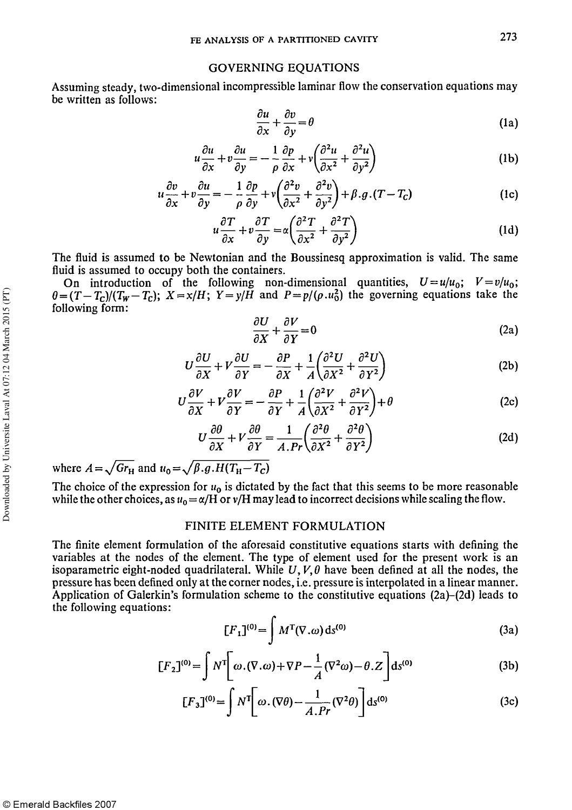#### GOVERNING EQUATIONS

Assuming steady, two-dimensional incompressible laminar flow the conservation equations may be written as follows:

$$
\frac{\partial u}{\partial x} + \frac{\partial v}{\partial y} = \theta \tag{1a}
$$

$$
u\frac{\partial u}{\partial x} + v\frac{\partial u}{\partial y} = -\frac{1}{\rho}\frac{\partial p}{\partial x} + v\left(\frac{\partial^2 u}{\partial x^2} + \frac{\partial^2 u}{\partial y^2}\right)
$$
 (1b)

$$
u\frac{\partial v}{\partial x} + v\frac{\partial u}{\partial y} = -\frac{1}{\rho}\frac{\partial p}{\partial y} + v\left(\frac{\partial^2 v}{\partial x^2} + \frac{\partial^2 v}{\partial y^2}\right) + \beta \cdot g \cdot (T - T_c)
$$
 (1c)

$$
u\frac{\partial T}{\partial x} + v\frac{\partial T}{\partial y} = \alpha \left( \frac{\partial^2 T}{\partial x^2} + \frac{\partial^2 T}{\partial y^2} \right)
$$
 (1d)

The fluid is assumed to be Newtonian and the Boussinesq approximation is valid. The same fluid is assumed to occupy both the containers.

On introduction of the following non-dimensional quantities,  $U=u/u_0$ ;  $V=v/u_0$ ;  $\theta = (T-T_c)/(T_W-T_c)$ ;  $X = x/H$ ;  $Y = y/\bar{H}$  and  $P = p/(\rho.u_0^2)$  the governing equations take the following form:

$$
\frac{\partial U}{\partial X} + \frac{\partial V}{\partial Y} = 0 \tag{2a}
$$

$$
U\frac{\partial U}{\partial X} + V\frac{\partial U}{\partial Y} = -\frac{\partial P}{\partial X} + \frac{1}{A} \left(\frac{\partial^2 U}{\partial X^2} + \frac{\partial^2 U}{\partial Y^2}\right)
$$
 (2b)

$$
U\frac{\partial V}{\partial X} + V\frac{\partial V}{\partial Y} = -\frac{\partial P}{\partial Y} + \frac{1}{A} \left( \frac{\partial^2 V}{\partial X^2} + \frac{\partial^2 V}{\partial Y^2} \right) + \theta
$$
 (2c)

$$
U\frac{\partial\theta}{\partial X} + V\frac{\partial\theta}{\partial Y} = \frac{1}{A.Pr} \left(\frac{\partial^2\theta}{\partial X^2} + \frac{\partial^2\theta}{\partial Y^2}\right)
$$
(2d)

where  $A = \sqrt{Gr_H}$  and  $u_0 = \sqrt{\beta g.H(T_H - T_c)}$ 

The choice of the expression for  $u_0$  is dictated by the fact that this seems to be more reasonable while the other choices, as  $u_0 = \alpha/H$  or  $v/H$  may lead to incorrect decisions while scaling the flow.

#### FINITE ELEMENT FORMULATION

The finite element formulation of the aforesaid constitutive equations starts with defining the variables at the nodes of the element. The type of element used for the present work is an isoparametric eight-noded quadrilateral. While *U, V, θ* have been defined at all the nodes, the pressure has been defined only at the corner nodes, i.e. pressure is interpolated in a linear manner. Application of Galerkin's formulation scheme to the constitutive equations (2a)–(2d) leads to the following equations:

$$
[F1](0) = \int MT(\nabla \cdot \omega) ds(0)
$$
 (3a)

$$
[F_2]^{(0)} = \int N^{\mathsf{T}} \bigg[ \omega \cdot (\nabla \cdot \omega) + \nabla P - \frac{1}{A} (\nabla^2 \omega) - \theta \cdot Z \bigg] ds^{(0)} \tag{3b}
$$

$$
[F_3]^{(0)} = \int N^{\mathsf{T}} \left[ \omega \cdot (\nabla \theta) - \frac{1}{A \cdot Pr} (\nabla^2 \theta) \right] \mathrm{d}s^{(0)} \tag{3c}
$$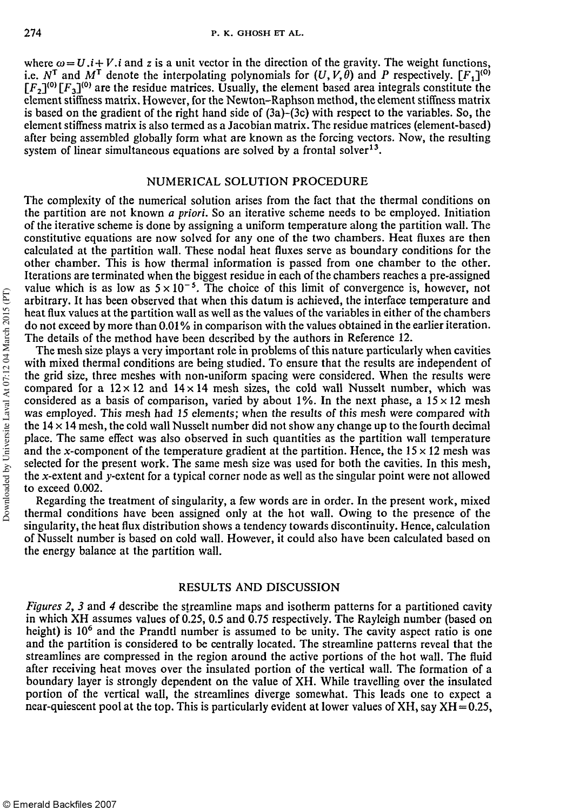where  $\omega = U \cdot i + V \cdot i$  and z is a unit vector in the direction of the gravity. The weight functions, i.e.  $N^T$  and  $M^T$  denote the interpolating polynomials for  $(U, V, \theta)$  and P respectively.  $[F_1]^{(0)}$  $[F_2]^{(0)} [F_3]^{(0)}$  are the residue matrices. Usually, the element based area integrals constitute the element stiffness matrix. However, for the Newton-Raphson method, the element stiffness matrix is based on the gradient of the right hand side of (3a)-(3c) with respect to the variables. So, the element stiffness matrix is also termed as a Jacobian matrix. The residue matrices (element-based) after being assembled globally form what are known as the forcing vectors. Now, the resulting system of linear simultaneous equations are solved by a frontal solver<sup>13</sup>.

#### NUMERICAL SOLUTION PROCEDURE

The complexity of the numerical solution arises from the fact that the thermal conditions on the partition are not known *a priori.* So an iterative scheme needs to be employed. Initiation of the iterative scheme is done by assigning a uniform temperature along the partition wall. The constitutive equations are now solved for any one of the two chambers. Heat fluxes are then calculated at the partition wall. These nodal heat fluxes serve as boundary conditions for the other chamber. This is how thermal information is passed from one chamber to the other. Iterations are terminated when the biggest residue in each of the chambers reaches a pre-assigned value which is as low as  $5 \times 10^{-5}$ . The choice of this limit of convergence is, however, not arbitrary. It has been observed that when this datum is achieved, the interface temperature and heat flux values at the partition wall as well as the values of the variables in either of the chambers do not exceed by more than 0.01% in comparison with the values obtained in the earlier iteration. The details of the method have been described by the authors in Reference 12.

The mesh size plays a very important role in problems of this nature particularly when cavities with mixed thermal conditions are being studied. To ensure that the results are independent of the grid size, three meshes with non-uniform spacing were considered. When the results were compared for a  $12 \times 12$  and  $14 \times 14$  mesh sizes, the cold wall Nusselt number, which was considered as a basis of comparison, varied by about 1%. In the next phase, a  $15 \times 12$  mesh was employed. This mesh had 15 elements; when the results of this mesh were compared with the  $14 \times 14$  mesh, the cold wall Nusselt number did not show any change up to the fourth decimal place. The same effect was also observed in such quantities as the partition wall temperature and the x-component of the temperature gradient at the partition. Hence, the  $15 \times 12$  mesh was selected for the present work. The same mesh size was used for both the cavities. In this mesh, the x-extent and y-extent for a typical corner node as well as the singular point were not allowed to exceed 0.002.

Regarding the treatment of singularity, a few words are in order. In the present work, mixed thermal conditions have been assigned only at the hot wall. Owing to the presence of the singularity, the heat flux distribution shows a tendency towards discontinuity. Hence, calculation of Nusselt number is based on cold wall. However, it could also have been calculated based on the energy balance at the partition wall.

#### RESULTS AND DISCUSSION

*Figures 2, 3* and *4* describe the streamline maps and isotherm patterns for a partitioned cavity in which XH assumes values of 0.25, 0.5 and 0.75 respectively. The Rayleigh number (based on height) is 10<sup>6</sup> and the Prandtl number is assumed to be unity. The cavity aspect ratio is one and the partition is considered to be centrally located. The streamline patterns reveal that the streamlines are compressed in the region around the active portions of the hot wall. The fluid after receiving heat moves over the insulated portion of the vertical wall. The formation of a boundary layer is strongly dependent on the value of XH. While travelling over the insulated portion of the vertical wall, the streamlines diverge somewhat. This leads one to expect a near-quiescent pool at the top. This is particularly evident at lower values of XH, say  $XH = 0.25$ ,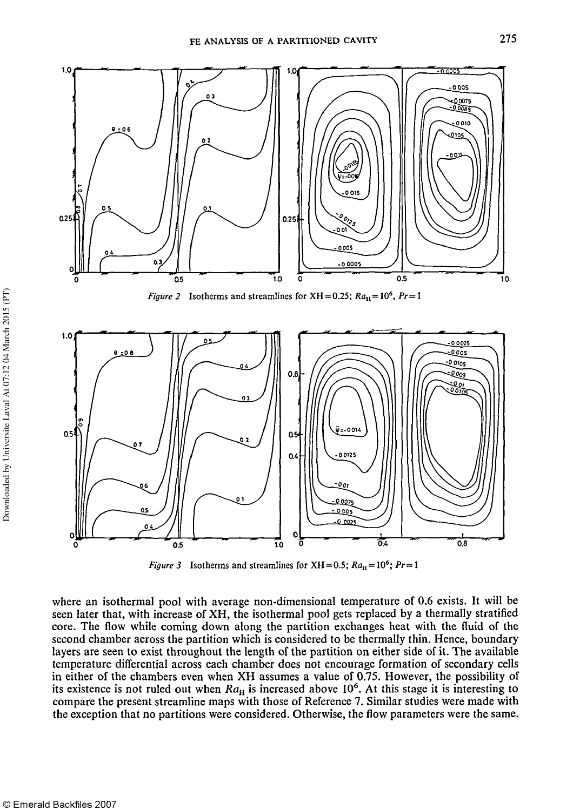

*Figure 2* Isotherms and streamlines for XH = 0.25;  $Ra_{\text{H}} = 10^6$ ,  $Pr = 1$ 



*Figure 3* Isotherms and streamlines for XH = 0.5;  $Ra_{\text{H}} = 10^6$ ;  $Pr = 1$ 

where an isothermal pool with average non-dimensional temperature of 0.6 exists. It will be seen later that, with increase of XH, the isothermal pool gets replaced by a thermally stratified core. The flow while coming down along the partition exchanges heat with the fluid of the second chamber across the partition which is considered to be thermally thin. Hence, boundary layers are seen to exist throughout the length of the partition on either side of it. The available temperature differential across each chamber does not encourage formation of secondary cells in either of the chambers even when XH assumes a value of 0.75. However, the possibility of its existence is not ruled out when  $Ra_H$  is increased above  $10^6$ . At this stage it is interesting to compare the present streamline maps with those of Reference 7. Similar studies were made with the exception that no partitions were considered. Otherwise, the flow parameters were the same.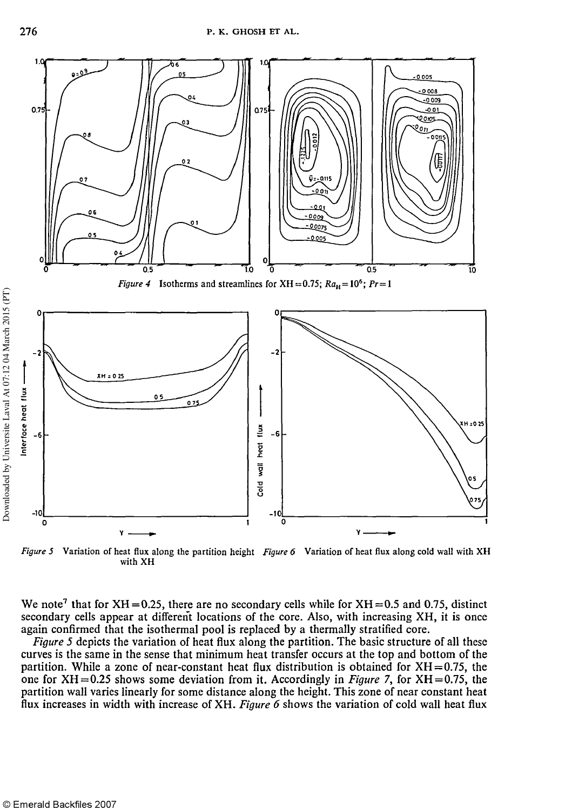

Figure 5 Variation of heat flux along the partition height Figure 6 Variation of heat flux along cold wall with XH with XH

We note<sup>7</sup> that for XH = 0.25, there are no secondary cells while for XH = 0.5 and 0.75, distinct secondary cells appear at different locations of the core. Also, with increasing XH, it is once again confirmed that the isothermal pool is replaced by a thermally stratified core.

*Figure 5* depicts the variation of heat flux along the partition. The basic structure of all these curves is the same in the sense that minimum heat transfer occurs at the top and bottom of the partition. While a zone of near-constant heat flux distribution is obtained for  $XH = 0.75$ , the one for XH=0.25 shows some deviation from it. Accordingly in *Figure 7,* for XH=0.75, the partition wall varies linearly for some distance along the height. This zone of near constant heat flux increases in width with increase of XH. *Figure 6* shows the variation of cold wall heat flux

Downloaded by Universite Laval At 07:12 04 March 2015 (PT)

Downloaded by Universite Laval At 07:12 04 March 2015 (PT)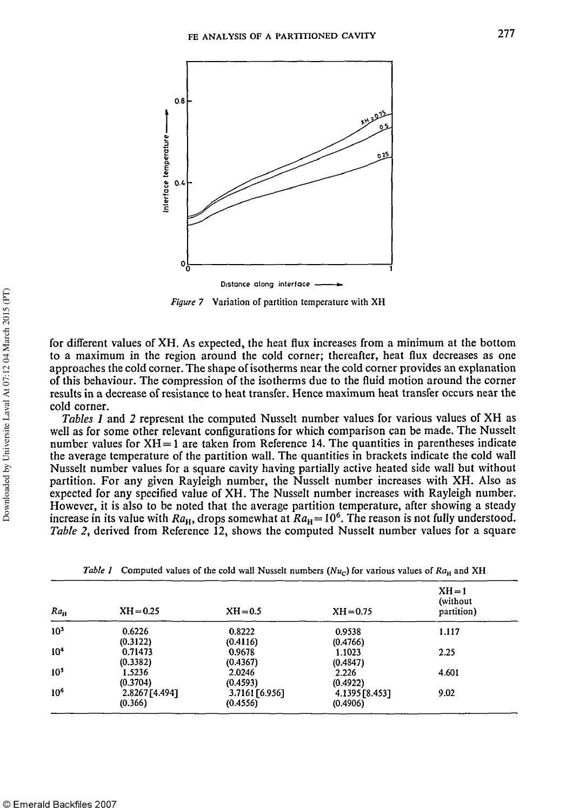

Figure 7 Variation of partition temperature with XH

for different values of XH. As expected, the heat flux increases from a minimum at the bottom to a maximum in the region around the cold corner; thereafter, heat flux decreases as one approaches the cold corner. The shape of isotherms near the cold corner provides an explanation of this behaviour. The compression of the isotherms due to the fluid motion around the corner results in a decrease of resistance to heat transfer. Hence maximum heat transfer occurs near the cold corner.

*Tables 1* and *2* represent the computed Nusselt number values for various values of XH as well as for some other relevant configurations for which comparison can be made. The Nusselt number values for  $XH = 1$  are taken from Reference 14. The quantities in parentheses indicate the average temperature of the partition wall. The quantities in brackets indicate the cold wall Nusselt number values for a square cavity having partially active heated side wall but without partition. For any given Rayleigh number, the Nusselt number increases with XH. Also as expected for any specified value of XH. The Nusselt number increases with Rayleigh number. However, it is also to be noted that the average partition temperature, after showing a steady increase in its value with  $Ra_{\rm H}$ , drops somewhat at  $Ra_{\rm H}$  = 10<sup>6</sup>. The reason is not fully understood. *Table 2,* derived from Reference 12, shows the computed Nusselt number values for a square

| $Ra_{\rm H}$    | $XH = 0.25$    | $XH = 0.5$     | $XH = 0.75$    | $XH = 1$<br>(without)<br>partition) |
|-----------------|----------------|----------------|----------------|-------------------------------------|
| 10 <sup>3</sup> | 0.6226         | 0.8222         | 0.9538         | 1.117                               |
|                 | (0.3122)       | (0.4116)       | (0.4766)       |                                     |
| 10 <sup>4</sup> | 0.71473        | 0.9678         | 1.1023         | 2.25                                |
|                 | (0.3382)       | (0.4367)       | (0.4847)       |                                     |
| 10 <sup>5</sup> | 1.5236         | 2.0246         | 2.226          | 4.601                               |
|                 | (0.3704)       | (0.4593)       | (0.4922)       |                                     |
| 10 <sup>6</sup> | 2.8267 [4.494] | 3.7161 [6.956] | 4.1395 [8.453] | 9.02                                |
|                 | (0.366)        | (0.4556)       | (0.4906)       |                                     |

*Table 1* Computed values of the cold wall Nusselt numbers ( $Nu<sub>C</sub>$ ) for various values of  $Ra<sub>H</sub>$  and XH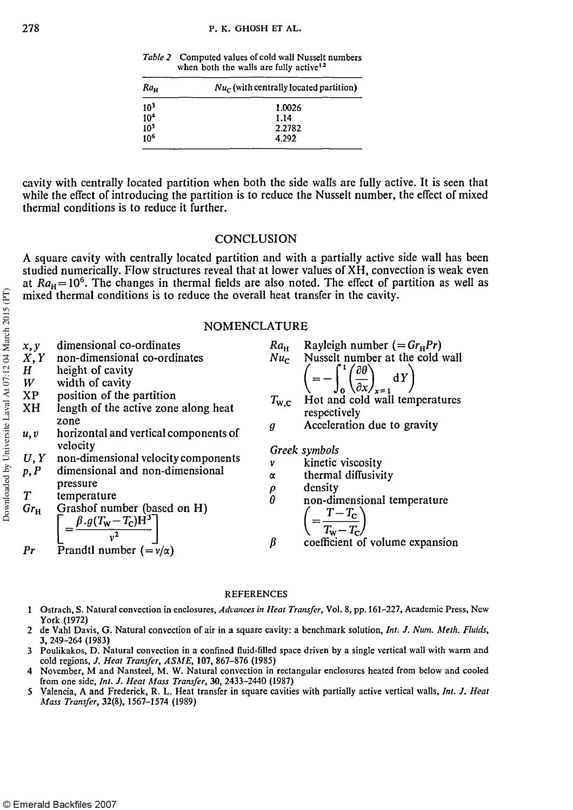*Table 2* Computed values of cold wall Nusselt numbers when both the walls are fully active<sup>12</sup>

| $Ra_{\rm H}$    | $Nu_c$ (with centrally located partition) |  |  |
|-----------------|-------------------------------------------|--|--|
| 10 <sup>3</sup> | 1.0026                                    |  |  |
| 10 <sup>4</sup> | 1.14                                      |  |  |
| 10 <sup>5</sup> | 2.2782                                    |  |  |
| 10 <sup>6</sup> | 4.292                                     |  |  |

cavity with centrally located partition when both the side walls are fully active. It is seen that while the effect of introducing the partition is to reduce the Nusselt number, the effect of mixed thermal conditions is to reduce it further.

#### **CONCLUSION**

A square cavity with centrally located partition and with a partially active side wall has been studied numerically. Flow structures reveal that at lower values of XH, convection is weak even at  $Ra_{H} = 10^{6}$ . The changes in thermal fields are also noted. The effect of partition as well as mixed thermal conditions is to reduce the overall heat transfer in the cavity.

#### NOMENCLATURE

| x, y<br>X, Y<br>$H_{\parallel}$<br>W<br>XP<br>XH<br>u, v<br>U, Y<br>p, P<br>T<br>$Gr_{\rm H}$<br>Pr | dimensional co-ordinates<br>non-dimensional co-ordinates<br>height of cavity<br>width of cavity<br>position of the partition<br>length of the active zone along heat<br>zone<br>horizontal and vertical components of<br>velocity<br>non-dimensional velocity components<br>dimensional and non-dimensional<br>pressure<br>temperature<br>Grashof number (based on H)<br>$\left[ = \frac{\beta . g (T_{\rm w} - T_{\rm c}) {\dot{\rm H}}^3}{v^2} \right]$<br>Prandtl number $(=\nu/\alpha)$ | $Ra_{\rm H}$<br>g<br>v<br>α<br>$_{\theta}^{\rho}$<br>$\beta$ | Rayleigh number $(=Gr_{H}Pr)$<br>$Nuc$ Nusselt number at the cold wall<br>$\left(=-\int_{0}^{1}\left(\frac{\partial \theta}{\partial x}\right)_{x=1}dY\right)$<br>$T_{\text{w},\text{c}}$ Hot and cold wall temperatures<br>respectively<br>Acceleration due to gravity<br>Greek symbols<br>kinetic viscosity<br>thermal diffusivity<br>density<br>non-dimensional temperature<br>$\left( = \frac{T - T_{\rm c}}{T_{\rm w} - T_{\rm c}} \right)$<br>coefficient of volume expansion |
|-----------------------------------------------------------------------------------------------------|---------------------------------------------------------------------------------------------------------------------------------------------------------------------------------------------------------------------------------------------------------------------------------------------------------------------------------------------------------------------------------------------------------------------------------------------------------------------------------------------|--------------------------------------------------------------|-------------------------------------------------------------------------------------------------------------------------------------------------------------------------------------------------------------------------------------------------------------------------------------------------------------------------------------------------------------------------------------------------------------------------------------------------------------------------------------|
|-----------------------------------------------------------------------------------------------------|---------------------------------------------------------------------------------------------------------------------------------------------------------------------------------------------------------------------------------------------------------------------------------------------------------------------------------------------------------------------------------------------------------------------------------------------------------------------------------------------|--------------------------------------------------------------|-------------------------------------------------------------------------------------------------------------------------------------------------------------------------------------------------------------------------------------------------------------------------------------------------------------------------------------------------------------------------------------------------------------------------------------------------------------------------------------|

#### REFERENCES

- 1 Ostrach, S. Natural convection in enclosures, *Advances in Heat Transfer,* Vol. 8, pp. 161-227, Academic Press, New York (1972)
- 2 de Vahl Davis, G. Natural convection of air in a square cavity: a benchmark solution, *Int. J. Num. Meth. Fluids,*  3, 249-264 (1983)
- 3 Poulikakos, D. Natural convection in a confined fluid-filled space driven by a single vertical wall with warm and cold regions, *J. Heat Transfer, ASME,***zyxwvutsrqponmlkjihgfedcbaZYXWVUTSRQPONMLKJIHGFEDCBA 107,** 867-876 (1985)
- 4 November, M and Nansteel, M. W. Natural convection in rectangular enclosures heated from below and cooled from one side, *Int. J. Heat Mass Transfer,* 30, 2433-2440 (1987)
- 5 Valencia, A and Frederick, R. L. Heat transfer in square cavities with partially active vertical walls, *Int. J. Heat Mass Transfer,* 32(8), 1567-1574 (1989)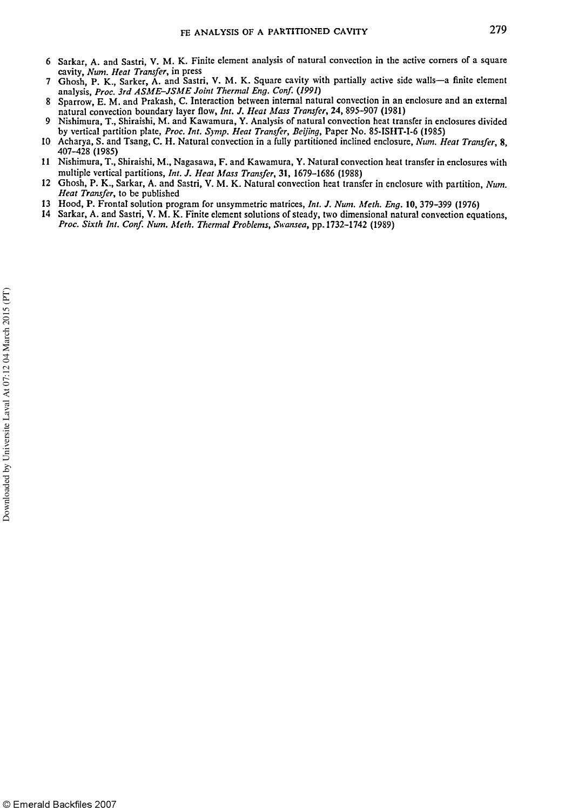- 6 Sarkar, A. and Sastri, V. M. K. Finite element analysis of natural convection in the active corners of a square cavity, Num. Heat Transfer, in press cavity, *Num. Heat Transfer*, in press<br>cavity, *Num. Heat Transfer*, in press
- 7 Ghosh, P. K., Sarker, A. and Sastri, V. M. K. Square cavity with partially active side walls—a finite element analysis, *Proc. 3rd ASME-JSME Joint Thermal Eng. Conf.* (*1991*)
- 8 Sparrow, E. M. and Prakash, C. Interaction between internal natural convection in an enclosure and an external natural convection boundary layer flow, *Int. J. Heat Mass Transfer,* 24, 895-907 (1981)
- 9 Nishimura, T., Shiraishi, M. and Kawamura, Y. Analysis of natural convection heat transfer in enclosures divided by vertical partition plate, *Proc. Int. Symp. Heat Transfer, Beijing,* Paper No. 85-ISHT-I-6 (1985)
- 10 Acharya, S. and Tsang, C. H. Natural convection in a fully partitioned inclined enclosure, *Num. Heat Transfer,* 8, 407-428 (1985)
- 11 Nishimura, T., Shiraishi, M., Nagasawa, F. and Kawamura, Y. Natural convection heat transfer in enclosures with multiple vertical partitions, *Int. J. Heat Mass Transfer,* 31, 1679-1686 (1988)
- 12 Ghosh, P. K., Sarkar, A. and Sastri, V. M. K. Natural convection heat transfer in enclosure with partition, *Num. Heat Transfer,* to be published
- 13 Hood, P. Frontal solution program for unsymmetric matrices, *Int. J. Num. Meth. Eng.* 10, 379-399 (1976)
- Sarkar, A. and Sastri, V. M. K. Finite element solutions of steady, two dimensional natural convection equations, *Proc. Sixth Int. Conf. Num. Meth. Thermal Problems, Swansea,* pp. 1732-1742 (1989)